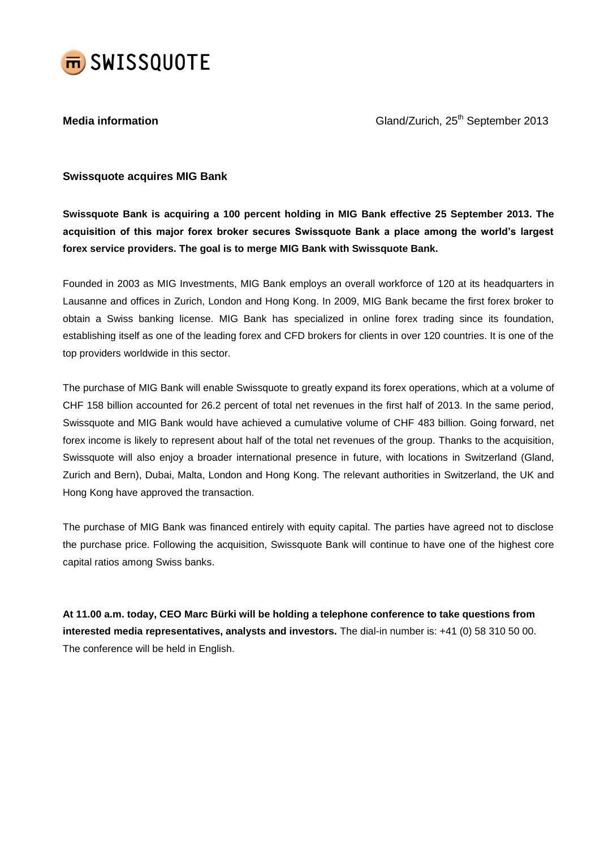

**Media information** Communication Cland/Zurich, 25<sup>th</sup> September 2013

# **Swissquote acquires MIG Bank**

**Swissquote Bank is acquiring a 100 percent holding in MIG Bank effective 25 September 2013. The acquisition of this major forex broker secures Swissquote Bank a place among the world's largest forex service providers. The goal is to merge MIG Bank with Swissquote Bank.**

Founded in 2003 as MIG Investments, MIG Bank employs an overall workforce of 120 at its headquarters in Lausanne and offices in Zurich, London and Hong Kong. In 2009, MIG Bank became the first forex broker to obtain a Swiss banking license. MIG Bank has specialized in online forex trading since its foundation, establishing itself as one of the leading forex and CFD brokers for clients in over 120 countries. It is one of the top providers worldwide in this sector.

The purchase of MIG Bank will enable Swissquote to greatly expand its forex operations, which at a volume of CHF 158 billion accounted for 26.2 percent of total net revenues in the first half of 2013. In the same period, Swissquote and MIG Bank would have achieved a cumulative volume of CHF 483 billion. Going forward, net forex income is likely to represent about half of the total net revenues of the group. Thanks to the acquisition, Swissquote will also enjoy a broader international presence in future, with locations in Switzerland (Gland, Zurich and Bern), Dubai, Malta, London and Hong Kong. The relevant authorities in Switzerland, the UK and Hong Kong have approved the transaction.

The purchase of MIG Bank was financed entirely with equity capital. The parties have agreed not to disclose the purchase price. Following the acquisition, Swissquote Bank will continue to have one of the highest core capital ratios among Swiss banks.

**At 11.00 a.m. today, CEO Marc Bürki will be holding a telephone conference to take questions from interested media representatives, analysts and investors.** The dial-in number is: +41 (0) 58 310 50 00. The conference will be held in English.